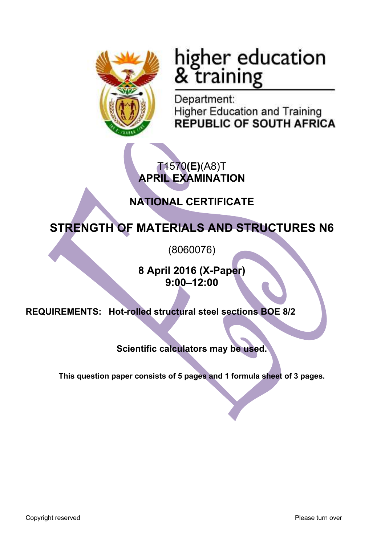

# higher education<br>& training

Department: **Higher Education and Training REPUBLIC OF SOUTH AFRICA** 

## T1570**(E)**(A8)T **APRIL EXAMINATION**

## **NATIONAL CERTIFICATE**

# **STRENGTH OF MATERIALS AND STRUCTURES N6**

(8060076)

**8 April 2016 (X-Paper) 9:00–12:00**

**REQUIREMENTS: Hot-rolled structural steel sections BOE 8/2**

**Scientific calculators may be used.**

**This question paper consists of 5 pages and 1 formula sheet of 3 pages.**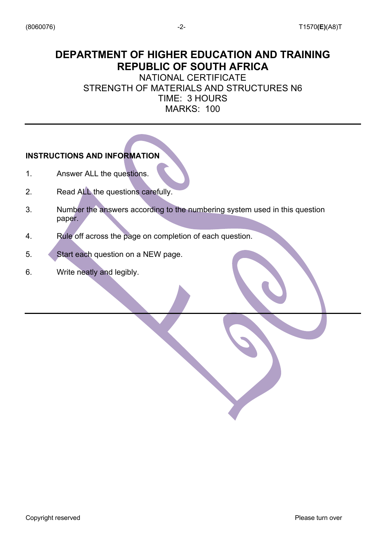## **DEPARTMENT OF HIGHER EDUCATION AND TRAINING REPUBLIC OF SOUTH AFRICA**

NATIONAL CERTIFICATE STRENGTH OF MATERIALS AND STRUCTURES N6 TIME: 3 HOURS MARKS: 100

#### **INSTRUCTIONS AND INFORMATION**

- 1. Answer ALL the questions.
- 2. Read ALL the questions carefully.
- 3. Number the answers according to the numbering system used in this question paper.
- 4. Rule off across the page on completion of each question.
- 5. Start each question on a NEW page.
- 6. Write neatly and legibly.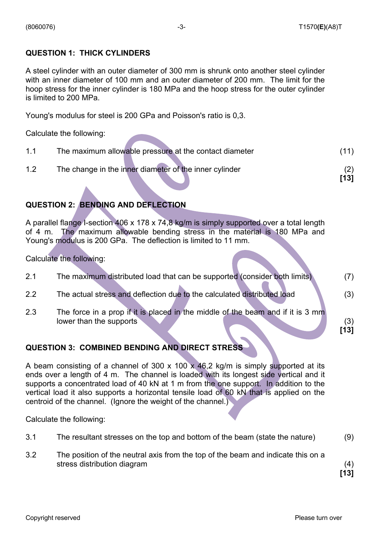#### **QUESTION 1: THICK CYLINDERS**

A steel cylinder with an outer diameter of 300 mm is shrunk onto another steel cylinder with an inner diameter of 100 mm and an outer diameter of 200 mm. The limit for the hoop stress for the inner cylinder is 180 MPa and the hoop stress for the outer cylinder is limited to 200 MPa.

Young's modulus for steel is 200 GPa and Poisson's ratio is 0,3.

Calculate the following:

| $11$ | The maximum allowable pressure at the contact diameter |      |
|------|--------------------------------------------------------|------|
| 1.2  | The change in the inner diameter of the inner cylinder |      |
|      |                                                        | [13] |

#### **QUESTION 2: BENDING AND DEFLECTION**

A parallel flange I-section 406 x 178 x 74,8 kg/m is simply supported over a total length of 4 m. The maximum allowable bending stress in the material is 180 MPa and Young's modulus is 200 GPa. The deflection is limited to 11 mm.

Calculate the following:

| 2.1 | The maximum distributed load that can be supported (consider both limits)                                  |             |
|-----|------------------------------------------------------------------------------------------------------------|-------------|
| 2.2 | The actual stress and deflection due to the calculated distributed load                                    | (3)         |
| 2.3 | The force in a prop if it is placed in the middle of the beam and if it is 3 mm<br>lower than the supports | (3)<br>[13] |

#### **QUESTION 3: COMBINED BENDING AND DIRECT STRESS**

A beam consisting of a channel of 300 x 100 x 46,2 kg/m is simply supported at its ends over a length of 4 m. The channel is loaded with its longest side vertical and it supports a concentrated load of 40 kN at 1 m from the one support. In addition to the vertical load it also supports a horizontal tensile load of 60 kN that is applied on the centroid of the channel. (Ignore the weight of the channel.)

Calculate the following:

| 3.1 | The resultant stresses on the top and bottom of the beam (state the nature) | (9) |
|-----|-----------------------------------------------------------------------------|-----|
|-----|-----------------------------------------------------------------------------|-----|

3.2 The position of the neutral axis from the top of the beam and indicate this on a stress distribution diagram (4)

**[13]**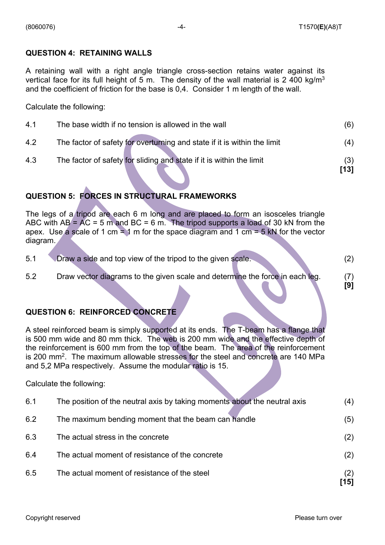#### **QUESTION 4: RETAINING WALLS**

A retaining wall with a right angle triangle cross-section retains water against its vertical face for its full height of 5 m. The density of the wall material is 2 400 kg/m<sup>3</sup> and the coefficient of friction for the base is 0,4. Consider 1 m length of the wall.

Calculate the following:

| 4.1 | The base width if no tension is allowed in the wall                      |             |
|-----|--------------------------------------------------------------------------|-------------|
| 4.2 | The factor of safety for overturning and state if it is within the limit | (4)         |
| 4.3 | The factor of safety for sliding and state if it is within the limit     | (3)<br>[13] |
|     |                                                                          |             |

#### **QUESTION 5: FORCES IN STRUCTURAL FRAMEWORKS**

The legs of a tripod are each 6 m long and are placed to form an isosceles triangle ABC with  $AB = AC = 5$  m and  $BC = 6$  m. The tripod supports a load of 30 kN from the apex. Use a scale of 1 cm = 1 m for the space diagram and 1 cm = 5 kN for the vector diagram.

| 5.1 |  | Draw a side and top view of the tripod to the given scale. |  |  |  |
|-----|--|------------------------------------------------------------|--|--|--|
|     |  |                                                            |  |  |  |

5.2 Draw vector diagrams to the given scale and determine the force in each leg. (7)

#### **QUESTION 6: REINFORCED CONCRETE**

A steel reinforced beam is simply supported at its ends. The T-beam has a flange that is 500 mm wide and 80 mm thick. The web is 200 mm wide and the effective depth of the reinforcement is 600 mm from the top of the beam. The area of the reinforcement is 200 mm2. The maximum allowable stresses for the steel and concrete are 140 MPa and 5,2 MPa respectively. Assume the modular ratio is 15.

Calculate the following:

|     |                                                                           | '151 |
|-----|---------------------------------------------------------------------------|------|
| 6.5 | The actual moment of resistance of the steel                              | (2)  |
| 6.4 | The actual moment of resistance of the concrete                           | (2)  |
| 6.3 | The actual stress in the concrete                                         | (2)  |
| 6.2 | The maximum bending moment that the beam can handle                       | (5)  |
| 6.1 | The position of the neutral axis by taking moments about the neutral axis | (4)  |

 **[9]**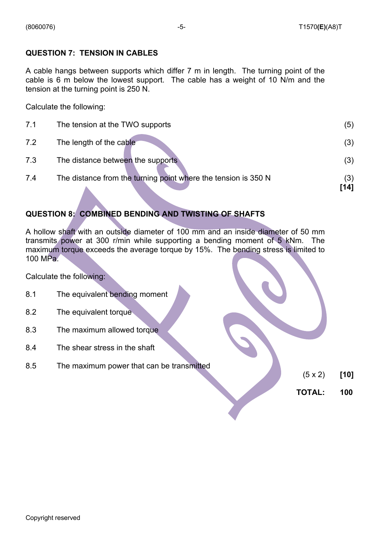#### **QUESTION 7: TENSION IN CABLES**

A cable hangs between supports which differ 7 m in length. The turning point of the cable is 6 m below the lowest support. The cable has a weight of 10 N/m and the tension at the turning point is 250 N.

Calculate the following:

|     |                                                                | [14] |
|-----|----------------------------------------------------------------|------|
| 7.4 | The distance from the turning point where the tension is 350 N | (3)  |
| 7.3 | The distance between the supports                              | (3)  |
| 7.2 | The length of the cable                                        | (3)  |
| 7.1 | The tension at the TWO supports                                | (5)  |

#### **QUESTION 8: COMBINED BENDING AND TWISTING OF SHAFTS**

A hollow shaft with an outside diameter of 100 mm and an inside diameter of 50 mm transmits power at 300 r/min while supporting a bending moment of 5 kNm. The maximum torque exceeds the average torque by 15%. The bending stress is limited to 100 MPa.

Calculate the following:

- 8.1 The equivalent bending moment
- 8.2 The equivalent torque
- 8.3 The maximum allowed torque
- 8.4 The shear stress in the shaft
- 8.5 The maximum power that can be transmitted

- (5 x 2) **[10]**
- **TOTAL: 100**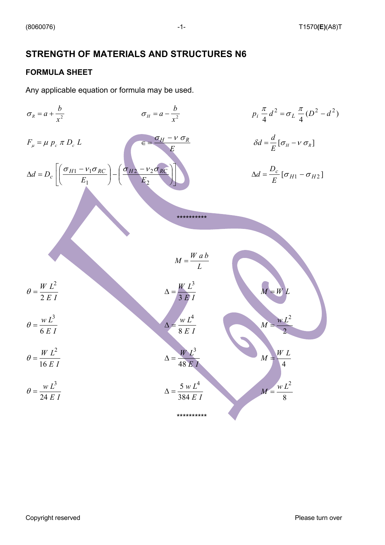### **STRENGTH OF MATERIALS AND STRUCTURES N6**

#### **FORMULA SHEET**

Any applicable equation or formula may be used.

$$
\sigma_R = a + \frac{b}{x^2}
$$
\n
$$
\sigma_H = a - \frac{b}{x^2}
$$
\n
$$
\sigma_H = a - \frac{b}{x^2}
$$
\n
$$
\sigma_H = a - \frac{b}{x^2}
$$
\n
$$
\sigma_H = a - \frac{b}{x^2}
$$
\n
$$
\sigma_H = a - \frac{b}{x^2}
$$
\n
$$
\sigma_H = a - \frac{b}{x^2}
$$
\n
$$
\sigma_H = a - \frac{b}{x^2}
$$
\n
$$
\sigma_H = a - \frac{b}{x^2}
$$
\n
$$
\sigma_H = a - \frac{b}{x^2}
$$
\n
$$
\sigma_H = a - \frac{b}{x^2}
$$
\n
$$
\sigma_H = a - \frac{b}{x^2}
$$
\n
$$
\sigma_H = a - \frac{b}{x^2}
$$
\n
$$
\sigma_H = a - \frac{b}{x^2}
$$
\n
$$
\sigma_H = a - \frac{b}{x^2}
$$
\n
$$
\sigma_H = a - \frac{b}{x^2}
$$
\n
$$
\sigma_H = a - \frac{b}{x^2}
$$
\n
$$
\sigma_H = a - \frac{b}{x^2}
$$
\n
$$
\sigma_H = a - \frac{b}{x^2}
$$
\n
$$
\sigma_H = a - \frac{b}{x^2}
$$
\n
$$
\sigma_H = a - \frac{b}{x^2}
$$
\n
$$
\sigma_H = a - \frac{b}{x}
$$
\n
$$
\sigma_H = a - \frac{b}{x}
$$
\n
$$
\sigma_H = a - \frac{b}{x}
$$
\n
$$
\sigma_H = a - \frac{b}{x}
$$
\n
$$
\sigma_H = a - \frac{b}{x}
$$
\n
$$
\sigma_H = a - \frac{b}{x}
$$
\n
$$
\sigma_H = a - \frac{b}{x}
$$
\n
$$
\sigma_H = a - \frac{b}{x}
$$
\n
$$
\sigma_H = a - \frac{b}{x}
$$
\n
$$
\sigma_H = a - \frac{b}{x}
$$
\n
$$
\sigma_H = a - \frac{b}{x}
$$
\n
$$
\sigma_H = a - \frac{b}{x}
$$
\n
$$
\sigma_H = a - \frac{b}{x}
$$
\n
$$
\sigma_H =
$$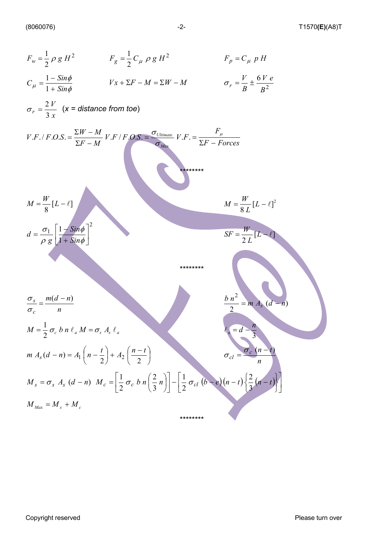$$
F_w = \frac{1}{2} \rho g H^2
$$
  
\n
$$
F_g = \frac{1}{2} C_\mu \rho g H^2
$$
  
\n
$$
F_p = C_\mu p H
$$
  
\n
$$
C_\mu = \frac{1 - \sin \phi}{1 + \sin \phi}
$$
  
\n
$$
Vx + \Sigma F - M = \Sigma W - M
$$
  
\n
$$
\sigma_r = \frac{2V}{B} \pm \frac{6V e}{B^2}
$$
  
\n
$$
\sigma_r = \frac{2V}{3x}
$$
 (x = distance from too)  
\n
$$
V.F./F.O.S. = \frac{2W - M}{\Sigma F - M} V.F/F.O.S. = \frac{\sigma_{U}}{\sigma_{U}} \sigma_{U} r.F. = \frac{F_\mu}{\Sigma F - F \sigma r c e s}
$$
  
\n
$$
M = \frac{W}{8} [L - \epsilon]^2
$$
  
\n
$$
d = \frac{\sigma_1}{\rho g} \left[ \frac{1 + \sin \phi}{1 + \sin \phi} \right]^2
$$
  
\n
$$
F = \frac{W}{2} [L - \epsilon]^2
$$
  
\n
$$
M = \frac{W}{8} [L - \epsilon]^2
$$
  
\n
$$
\sigma_x = \frac{m(d - n)}{n}
$$
  
\n
$$
M = \frac{1}{2} \sigma_c b n t_a M = \sigma_x A, \ell_a
$$
  
\n
$$
m A_3 (d - n) = A_1 \left( n - \frac{t}{2} \right) + A_2 \left( \frac{n - t}{2} \right)
$$
  
\n
$$
M_s = \sigma_s A_s (d - n) M_c = \left[ \frac{1}{2} \sigma_c b n \left( \frac{2}{3} n \right) \right] - \left[ \frac{1}{2} \sigma_{cl} (b - e) (n - t) \left( \frac{2}{3} (n - t) \right) \right]
$$
  
\n
$$
M_{Mox} = M_s + M_c
$$